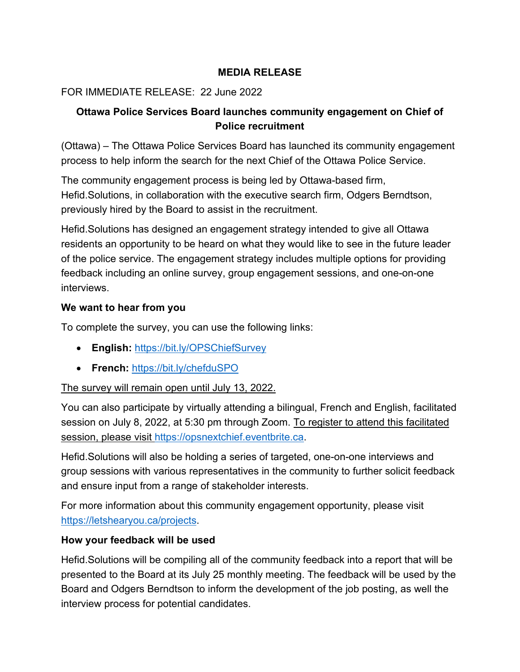#### **MEDIA RELEASE**

## FOR IMMEDIATE RELEASE: 22 June 2022

# **Ottawa Police Services Board launches community engagement on Chief of Police recruitment**

(Ottawa) – The Ottawa Police Services Board has launched its community engagement process to help inform the search for the next Chief of the Ottawa Police Service.

The community engagement process is being led by Ottawa-based firm, Hefid.Solutions, in collaboration with the executive search firm, Odgers Berndtson, previously hired by the Board to assist in the recruitment.

Hefid.Solutions has designed an engagement strategy intended to give all Ottawa residents an opportunity to be heard on what they would like to see in the future leader of the police service. The engagement strategy includes multiple options for providing feedback including an online survey, group engagement sessions, and one-on-one interviews.

### **We want to hear from you**

To complete the survey, you can use the following links:

- **English:** <https://bit.ly/OPSChiefSurvey>
- **French:** <https://bit.ly/chefduSPO>

## The survey will remain open until July 13, 2022.

You can also participate by virtually attending a bilingual, French and English, facilitated session on July 8, 2022, at 5:30 pm through Zoom. To register to attend this facilitated session, please visit [https://opsnextchief.eventbrite.ca.](https://can01.safelinks.protection.outlook.com/?url=https%3A%2F%2Fopsnextchief.eventbrite.ca%2F&data=05%7C01%7Ckrista.ferraro%40ottawa.ca%7Cea6b70ed515e4775851d08da53fb9d16%7Cdfcc033ddf874c6ea1b88eaa73f1b72e%7C0%7C0%7C637914637949840951%7CUnknown%7CTWFpbGZsb3d8eyJWIjoiMC4wLjAwMDAiLCJQIjoiV2luMzIiLCJBTiI6Ik1haWwiLCJXVCI6Mn0%3D%7C3000%7C%7C%7C&sdata=3gy56B1gY5XIDfCUj7ChU6tsIU42hIZc4DVDpw6wmZg%3D&reserved=0)

Hefid.Solutions will also be holding a series of targeted, one-on-one interviews and group sessions with various representatives in the community to further solicit feedback and ensure input from a range of stakeholder interests.

For more information about this community engagement opportunity, please visit [https://letshearyou.ca/projects.](https://letshearyou.ca/projects)

#### **How your feedback will be used**

Hefid.Solutions will be compiling all of the community feedback into a report that will be presented to the Board at its July 25 monthly meeting. The feedback will be used by the Board and Odgers Berndtson to inform the development of the job posting, as well the interview process for potential candidates.